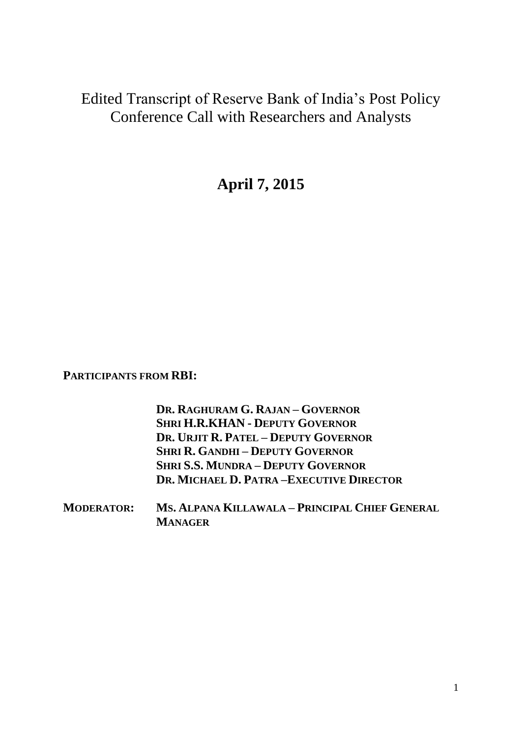## Edited Transcript of Reserve Bank of India's Post Policy Conference Call with Researchers and Analysts

**April 7, 2015**

**PARTICIPANTS FROM RBI:**

**DR. RAGHURAM G. RAJAN – GOVERNOR SHRI H.R.KHAN - DEPUTY GOVERNOR DR. URJIT R. PATEL – DEPUTY GOVERNOR SHRI R. GANDHI – DEPUTY GOVERNOR SHRI S.S. MUNDRA – DEPUTY GOVERNOR DR. MICHAEL D. PATRA –EXECUTIVE DIRECTOR**

**MODERATOR: MS. ALPANA KILLAWALA – PRINCIPAL CHIEF GENERAL MANAGER**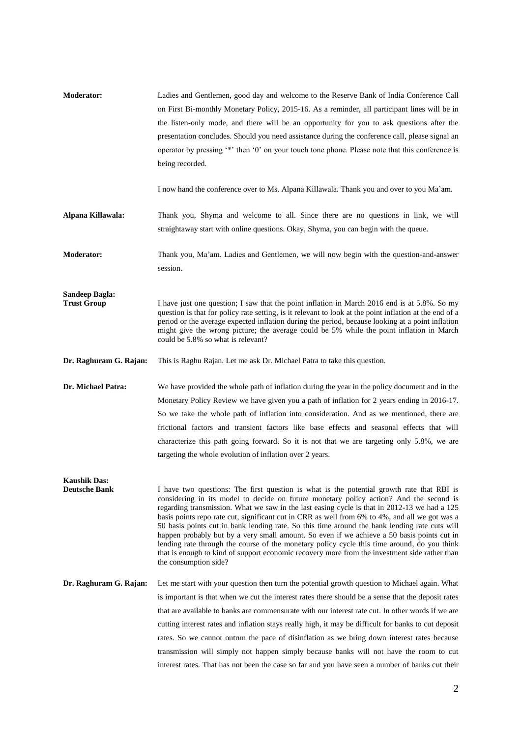| <b>Moderator:</b>                           | Ladies and Gentlemen, good day and welcome to the Reserve Bank of India Conference Call<br>on First Bi-monthly Monetary Policy, 2015-16. As a reminder, all participant lines will be in<br>the listen-only mode, and there will be an opportunity for you to ask questions after the<br>presentation concludes. Should you need assistance during the conference call, please signal an<br>operator by pressing '*' then '0' on your touch tone phone. Please note that this conference is<br>being recorded.                                                                                                                                                                                                                                                                                                |
|---------------------------------------------|---------------------------------------------------------------------------------------------------------------------------------------------------------------------------------------------------------------------------------------------------------------------------------------------------------------------------------------------------------------------------------------------------------------------------------------------------------------------------------------------------------------------------------------------------------------------------------------------------------------------------------------------------------------------------------------------------------------------------------------------------------------------------------------------------------------|
|                                             | I now hand the conference over to Ms. Alpana Killawala. Thank you and over to you Ma'am.                                                                                                                                                                                                                                                                                                                                                                                                                                                                                                                                                                                                                                                                                                                      |
| Alpana Killawala:                           | Thank you, Shyma and welcome to all. Since there are no questions in link, we will<br>straightaway start with online questions. Okay, Shyma, you can begin with the queue.                                                                                                                                                                                                                                                                                                                                                                                                                                                                                                                                                                                                                                    |
| <b>Moderator:</b>                           | Thank you, Ma'am. Ladies and Gentlemen, we will now begin with the question-and-answer<br>session.                                                                                                                                                                                                                                                                                                                                                                                                                                                                                                                                                                                                                                                                                                            |
| <b>Sandeep Bagla:</b><br><b>Trust Group</b> | I have just one question; I saw that the point inflation in March 2016 end is at 5.8%. So my<br>question is that for policy rate setting, is it relevant to look at the point inflation at the end of a<br>period or the average expected inflation during the period, because looking at a point inflation<br>might give the wrong picture; the average could be 5% while the point inflation in March<br>could be 5.8% so what is relevant?                                                                                                                                                                                                                                                                                                                                                                 |
| Dr. Raghuram G. Rajan:                      | This is Raghu Rajan. Let me ask Dr. Michael Patra to take this question.                                                                                                                                                                                                                                                                                                                                                                                                                                                                                                                                                                                                                                                                                                                                      |
| Dr. Michael Patra:                          | We have provided the whole path of inflation during the year in the policy document and in the<br>Monetary Policy Review we have given you a path of inflation for 2 years ending in 2016-17.<br>So we take the whole path of inflation into consideration. And as we mentioned, there are<br>frictional factors and transient factors like base effects and seasonal effects that will<br>characterize this path going forward. So it is not that we are targeting only 5.8%, we are<br>targeting the whole evolution of inflation over 2 years.                                                                                                                                                                                                                                                             |
| <b>Kaushik Das:</b><br><b>Deutsche Bank</b> | I have two questions: The first question is what is the potential growth rate that RBI is<br>considering in its model to decide on future monetary policy action? And the second is<br>regarding transmission. What we saw in the last easing cycle is that in 2012-13 we had a 125<br>basis points repo rate cut, significant cut in CRR as well from 6% to 4%, and all we got was a<br>50 basis points cut in bank lending rate. So this time around the bank lending rate cuts will<br>happen probably but by a very small amount. So even if we achieve a 50 basis points cut in<br>lending rate through the course of the monetary policy cycle this time around, do you think<br>that is enough to kind of support economic recovery more from the investment side rather than<br>the consumption side? |
| Dr. Raghuram G. Rajan:                      | Let me start with your question then turn the potential growth question to Michael again. What<br>is important is that when we cut the interest rates there should be a sense that the deposit rates<br>that are available to banks are commensurate with our interest rate cut. In other words if we are<br>cutting interest rates and inflation stays really high, it may be difficult for banks to cut deposit<br>rates. So we cannot outrun the pace of disinflation as we bring down interest rates because<br>transmission will simply not happen simply because banks will not have the room to cut<br>interest rates. That has not been the case so far and you have seen a number of banks cut their                                                                                                 |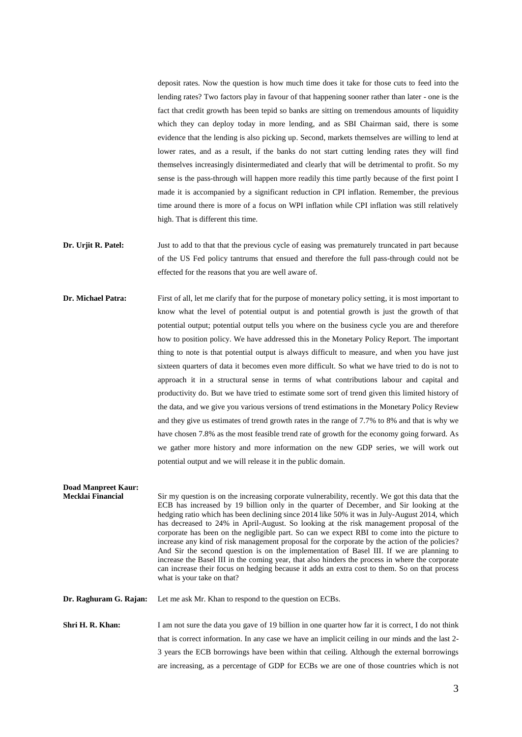deposit rates. Now the question is how much time does it take for those cuts to feed into the lending rates? Two factors play in favour of that happening sooner rather than later - one is the fact that credit growth has been tepid so banks are sitting on tremendous amounts of liquidity which they can deploy today in more lending, and as SBI Chairman said, there is some evidence that the lending is also picking up. Second, markets themselves are willing to lend at lower rates, and as a result, if the banks do not start cutting lending rates they will find themselves increasingly disintermediated and clearly that will be detrimental to profit. So my sense is the pass-through will happen more readily this time partly because of the first point I made it is accompanied by a significant reduction in CPI inflation. Remember, the previous time around there is more of a focus on WPI inflation while CPI inflation was still relatively high. That is different this time.

- **Dr. Urjit R. Patel:** Just to add to that that the previous cycle of easing was prematurely truncated in part because of the US Fed policy tantrums that ensued and therefore the full pass-through could not be effected for the reasons that you are well aware of.
- **Dr. Michael Patra:** First of all, let me clarify that for the purpose of monetary policy setting, it is most important to know what the level of potential output is and potential growth is just the growth of that potential output; potential output tells you where on the business cycle you are and therefore how to position policy. We have addressed this in the Monetary Policy Report. The important thing to note is that potential output is always difficult to measure, and when you have just sixteen quarters of data it becomes even more difficult. So what we have tried to do is not to approach it in a structural sense in terms of what contributions labour and capital and productivity do. But we have tried to estimate some sort of trend given this limited history of the data, and we give you various versions of trend estimations in the Monetary Policy Review and they give us estimates of trend growth rates in the range of 7.7% to 8% and that is why we have chosen 7.8% as the most feasible trend rate of growth for the economy going forward. As we gather more history and more information on the new GDP series, we will work out potential output and we will release it in the public domain.

**Doad Manpreet Kaur: Mecklai Financial** Sir my question is on the increasing corporate vulnerability, recently. We got this data that the ECB has increased by 19 billion only in the quarter of December, and Sir looking at the hedging ratio which has been declining since 2014 like 50% it was in July-August 2014, which has decreased to 24% in April-August. So looking at the risk management proposal of the corporate has been on the negligible part. So can we expect RBI to come into the picture to increase any kind of risk management proposal for the corporate by the action of the policies? And Sir the second question is on the implementation of Basel III. If we are planning to increase the Basel III in the coming year, that also hinders the process in where the corporate can increase their focus on hedging because it adds an extra cost to them. So on that process what is your take on that?

- **Dr. Raghuram G. Rajan:** Let me ask Mr. Khan to respond to the question on ECBs.
- **Shri H. R. Khan:** I am not sure the data you gave of 19 billion in one quarter how far it is correct, I do not think that is correct information. In any case we have an implicit ceiling in our minds and the last 2- 3 years the ECB borrowings have been within that ceiling. Although the external borrowings are increasing, as a percentage of GDP for ECBs we are one of those countries which is not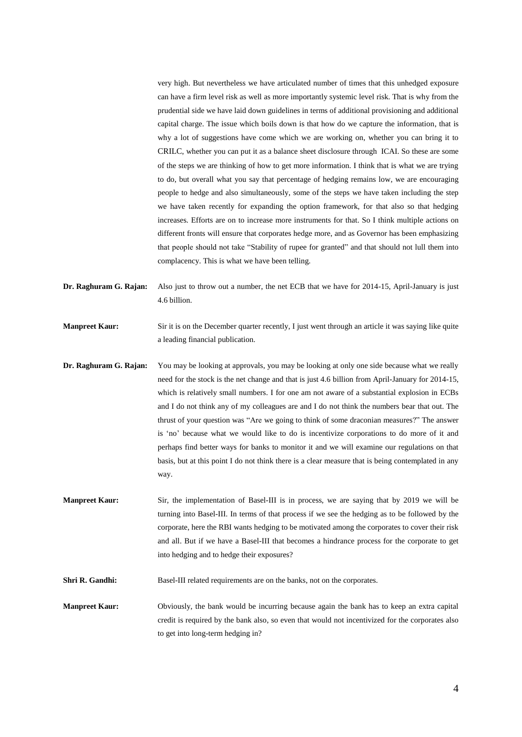very high. But nevertheless we have articulated number of times that this unhedged exposure can have a firm level risk as well as more importantly systemic level risk. That is why from the prudential side we have laid down guidelines in terms of additional provisioning and additional capital charge. The issue which boils down is that how do we capture the information, that is why a lot of suggestions have come which we are working on, whether you can bring it to CRILC, whether you can put it as a balance sheet disclosure through ICAI. So these are some of the steps we are thinking of how to get more information. I think that is what we are trying to do, but overall what you say that percentage of hedging remains low, we are encouraging people to hedge and also simultaneously, some of the steps we have taken including the step we have taken recently for expanding the option framework, for that also so that hedging increases. Efforts are on to increase more instruments for that. So I think multiple actions on different fronts will ensure that corporates hedge more, and as Governor has been emphasizing that people should not take "Stability of rupee for granted" and that should not lull them into complacency. This is what we have been telling.

- **Dr. Raghuram G. Rajan:** Also just to throw out a number, the net ECB that we have for 2014-15, April-January is just 4.6 billion.
- **Manpreet Kaur:** Sir it is on the December quarter recently, I just went through an article it was saying like quite a leading financial publication.
- **Dr. Raghuram G. Rajan:** You may be looking at approvals, you may be looking at only one side because what we really need for the stock is the net change and that is just 4.6 billion from April-January for 2014-15, which is relatively small numbers. I for one am not aware of a substantial explosion in ECBs and I do not think any of my colleagues are and I do not think the numbers bear that out. The thrust of your question was "Are we going to think of some draconian measures?" The answer is 'no' because what we would like to do is incentivize corporations to do more of it and perhaps find better ways for banks to monitor it and we will examine our regulations on that basis, but at this point I do not think there is a clear measure that is being contemplated in any way.
- **Manpreet Kaur:** Sir, the implementation of Basel-III is in process, we are saying that by 2019 we will be turning into Basel-III. In terms of that process if we see the hedging as to be followed by the corporate, here the RBI wants hedging to be motivated among the corporates to cover their risk and all. But if we have a Basel-III that becomes a hindrance process for the corporate to get into hedging and to hedge their exposures?
- **Shri R. Gandhi:** Basel-III related requirements are on the banks, not on the corporates.

**Manpreet Kaur:** Obviously, the bank would be incurring because again the bank has to keep an extra capital credit is required by the bank also, so even that would not incentivized for the corporates also to get into long-term hedging in?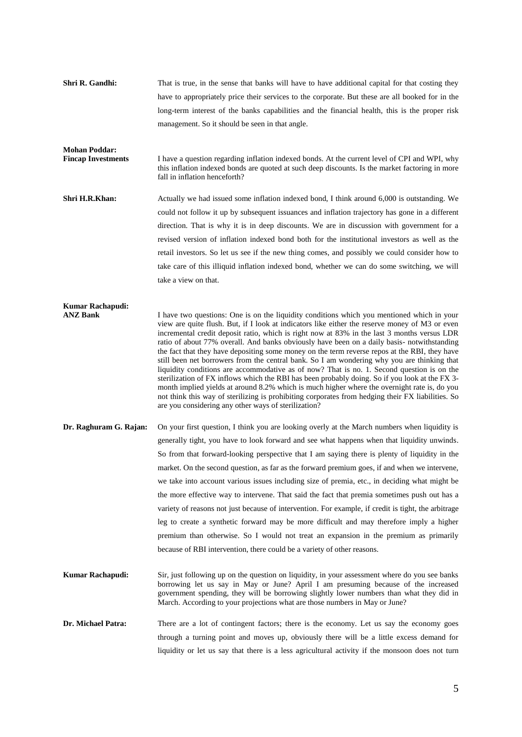| Shri R. Gandhi:                            | That is true, in the sense that banks will have to have additional capital for that costing they                                                                                                                                                                                                                                                                                                                                                                                                                                                                                                                                                                                                                                                                                                                                                                                                                                                                                                                                                        |
|--------------------------------------------|---------------------------------------------------------------------------------------------------------------------------------------------------------------------------------------------------------------------------------------------------------------------------------------------------------------------------------------------------------------------------------------------------------------------------------------------------------------------------------------------------------------------------------------------------------------------------------------------------------------------------------------------------------------------------------------------------------------------------------------------------------------------------------------------------------------------------------------------------------------------------------------------------------------------------------------------------------------------------------------------------------------------------------------------------------|
|                                            | have to appropriately price their services to the corporate. But these are all booked for in the                                                                                                                                                                                                                                                                                                                                                                                                                                                                                                                                                                                                                                                                                                                                                                                                                                                                                                                                                        |
|                                            | long-term interest of the banks capabilities and the financial health, this is the proper risk                                                                                                                                                                                                                                                                                                                                                                                                                                                                                                                                                                                                                                                                                                                                                                                                                                                                                                                                                          |
|                                            | management. So it should be seen in that angle.                                                                                                                                                                                                                                                                                                                                                                                                                                                                                                                                                                                                                                                                                                                                                                                                                                                                                                                                                                                                         |
| <b>Mohan Poddar:</b>                       |                                                                                                                                                                                                                                                                                                                                                                                                                                                                                                                                                                                                                                                                                                                                                                                                                                                                                                                                                                                                                                                         |
| <b>Fincap Investments</b>                  | I have a question regarding inflation indexed bonds. At the current level of CPI and WPI, why<br>this inflation indexed bonds are quoted at such deep discounts. Is the market factoring in more<br>fall in inflation henceforth?                                                                                                                                                                                                                                                                                                                                                                                                                                                                                                                                                                                                                                                                                                                                                                                                                       |
| Shri H.R.Khan:                             | Actually we had issued some inflation indexed bond, I think around 6,000 is outstanding. We                                                                                                                                                                                                                                                                                                                                                                                                                                                                                                                                                                                                                                                                                                                                                                                                                                                                                                                                                             |
|                                            | could not follow it up by subsequent issuances and inflation trajectory has gone in a different                                                                                                                                                                                                                                                                                                                                                                                                                                                                                                                                                                                                                                                                                                                                                                                                                                                                                                                                                         |
|                                            | direction. That is why it is in deep discounts. We are in discussion with government for a                                                                                                                                                                                                                                                                                                                                                                                                                                                                                                                                                                                                                                                                                                                                                                                                                                                                                                                                                              |
|                                            | revised version of inflation indexed bond both for the institutional investors as well as the                                                                                                                                                                                                                                                                                                                                                                                                                                                                                                                                                                                                                                                                                                                                                                                                                                                                                                                                                           |
|                                            | retail investors. So let us see if the new thing comes, and possibly we could consider how to                                                                                                                                                                                                                                                                                                                                                                                                                                                                                                                                                                                                                                                                                                                                                                                                                                                                                                                                                           |
|                                            | take care of this illiquid inflation indexed bond, whether we can do some switching, we will                                                                                                                                                                                                                                                                                                                                                                                                                                                                                                                                                                                                                                                                                                                                                                                                                                                                                                                                                            |
|                                            | take a view on that.                                                                                                                                                                                                                                                                                                                                                                                                                                                                                                                                                                                                                                                                                                                                                                                                                                                                                                                                                                                                                                    |
|                                            |                                                                                                                                                                                                                                                                                                                                                                                                                                                                                                                                                                                                                                                                                                                                                                                                                                                                                                                                                                                                                                                         |
| <b>Kumar Rachapudi:</b><br><b>ANZ Bank</b> | I have two questions: One is on the liquidity conditions which you mentioned which in your<br>view are quite flush. But, if I look at indicators like either the reserve money of M3 or even<br>incremental credit deposit ratio, which is right now at 83% in the last 3 months versus LDR<br>ratio of about 77% overall. And banks obviously have been on a daily basis- notwithstanding<br>the fact that they have depositing some money on the term reverse repos at the RBI, they have<br>still been net borrowers from the central bank. So I am wondering why you are thinking that<br>liquidity conditions are accommodative as of now? That is no. 1. Second question is on the<br>sterilization of FX inflows which the RBI has been probably doing. So if you look at the FX 3-<br>month implied yields at around 8.2% which is much higher where the overnight rate is, do you<br>not think this way of sterilizing is prohibiting corporates from hedging their FX liabilities. So<br>are you considering any other ways of sterilization? |
| Dr. Raghuram G. Rajan:                     | On your first question, I think you are looking overly at the March numbers when liquidity is                                                                                                                                                                                                                                                                                                                                                                                                                                                                                                                                                                                                                                                                                                                                                                                                                                                                                                                                                           |
|                                            | generally tight, you have to look forward and see what happens when that liquidity unwinds.                                                                                                                                                                                                                                                                                                                                                                                                                                                                                                                                                                                                                                                                                                                                                                                                                                                                                                                                                             |
|                                            | So from that forward-looking perspective that I am saying there is plenty of liquidity in the                                                                                                                                                                                                                                                                                                                                                                                                                                                                                                                                                                                                                                                                                                                                                                                                                                                                                                                                                           |
|                                            | market. On the second question, as far as the forward premium goes, if and when we intervene,                                                                                                                                                                                                                                                                                                                                                                                                                                                                                                                                                                                                                                                                                                                                                                                                                                                                                                                                                           |
|                                            | we take into account various issues including size of premia, etc., in deciding what might be                                                                                                                                                                                                                                                                                                                                                                                                                                                                                                                                                                                                                                                                                                                                                                                                                                                                                                                                                           |
|                                            | the more effective way to intervene. That said the fact that premia sometimes push out has a                                                                                                                                                                                                                                                                                                                                                                                                                                                                                                                                                                                                                                                                                                                                                                                                                                                                                                                                                            |
|                                            | variety of reasons not just because of intervention. For example, if credit is tight, the arbitrage                                                                                                                                                                                                                                                                                                                                                                                                                                                                                                                                                                                                                                                                                                                                                                                                                                                                                                                                                     |
|                                            | leg to create a synthetic forward may be more difficult and may therefore imply a higher                                                                                                                                                                                                                                                                                                                                                                                                                                                                                                                                                                                                                                                                                                                                                                                                                                                                                                                                                                |
|                                            | premium than otherwise. So I would not treat an expansion in the premium as primarily                                                                                                                                                                                                                                                                                                                                                                                                                                                                                                                                                                                                                                                                                                                                                                                                                                                                                                                                                                   |
|                                            | because of RBI intervention, there could be a variety of other reasons.                                                                                                                                                                                                                                                                                                                                                                                                                                                                                                                                                                                                                                                                                                                                                                                                                                                                                                                                                                                 |
| <b>Kumar Rachapudi:</b>                    | Sir, just following up on the question on liquidity, in your assessment where do you see banks<br>borrowing let us say in May or June? April I am presuming because of the increased<br>government spending, they will be borrowing slightly lower numbers than what they did in<br>March. According to your projections what are those numbers in May or June?                                                                                                                                                                                                                                                                                                                                                                                                                                                                                                                                                                                                                                                                                         |
| Dr. Michael Patra:                         | There are a lot of contingent factors; there is the economy. Let us say the economy goes                                                                                                                                                                                                                                                                                                                                                                                                                                                                                                                                                                                                                                                                                                                                                                                                                                                                                                                                                                |
|                                            | through a turning point and moves up, obviously there will be a little excess demand for                                                                                                                                                                                                                                                                                                                                                                                                                                                                                                                                                                                                                                                                                                                                                                                                                                                                                                                                                                |
|                                            | liquidity or let us say that there is a less agricultural activity if the monsoon does not turn                                                                                                                                                                                                                                                                                                                                                                                                                                                                                                                                                                                                                                                                                                                                                                                                                                                                                                                                                         |
|                                            |                                                                                                                                                                                                                                                                                                                                                                                                                                                                                                                                                                                                                                                                                                                                                                                                                                                                                                                                                                                                                                                         |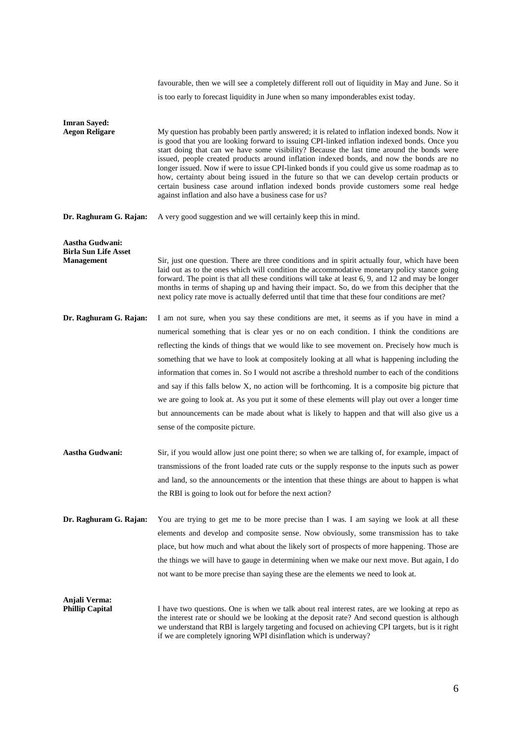favourable, then we will see a completely different roll out of liquidity in May and June. So it is too early to forecast liquidity in June when so many imponderables exist today. **Imran Sayed: Aegon Religare** My question has probably been partly answered; it is related to inflation indexed bonds. Now it is good that you are looking forward to issuing CPI-linked inflation indexed bonds. Once you start doing that can we have some visibility? Because the last time around the bonds were issued, people created products around inflation indexed bonds, and now the bonds are no longer issued. Now if were to issue CPI-linked bonds if you could give us some roadmap as to how, certainty about being issued in the future so that we can develop certain products or certain business case around inflation indexed bonds provide customers some real hedge against inflation and also have a business case for us? **Dr. Raghuram G. Rajan:** A very good suggestion and we will certainly keep this in mind. **Aastha Gudwani: Birla Sun Life Asset Management** Sir, just one question. There are three conditions and in spirit actually four, which have been laid out as to the ones which will condition the accommodative monetary policy stance going forward. The point is that all these conditions will take at least 6, 9, and 12 and may be longer months in terms of shaping up and having their impact. So, do we from this decipher that the next policy rate move is actually deferred until that time that these four conditions are met? **Dr. Raghuram G. Rajan:** I am not sure, when you say these conditions are met, it seems as if you have in mind a numerical something that is clear yes or no on each condition. I think the conditions are reflecting the kinds of things that we would like to see movement on. Precisely how much is something that we have to look at compositely looking at all what is happening including the information that comes in. So I would not ascribe a threshold number to each of the conditions and say if this falls below X, no action will be forthcoming. It is a composite big picture that we are going to look at. As you put it some of these elements will play out over a longer time but announcements can be made about what is likely to happen and that will also give us a sense of the composite picture. **Aastha Gudwani:** Sir, if you would allow just one point there; so when we are talking of, for example, impact of transmissions of the front loaded rate cuts or the supply response to the inputs such as power and land, so the announcements or the intention that these things are about to happen is what the RBI is going to look out for before the next action? **Dr. Raghuram G. Rajan:** You are trying to get me to be more precise than I was. I am saying we look at all these elements and develop and composite sense. Now obviously, some transmission has to take place, but how much and what about the likely sort of prospects of more happening. Those are the things we will have to gauge in determining when we make our next move. But again, I do not want to be more precise than saying these are the elements we need to look at. **Anjali Verma:** I have two questions. One is when we talk about real interest rates, are we looking at repo as the interest rate or should we be looking at the deposit rate? And second question is although we understand that RBI is largely targeting and focused on achieving CPI targets, but is it right if we are completely ignoring WPI disinflation which is underway?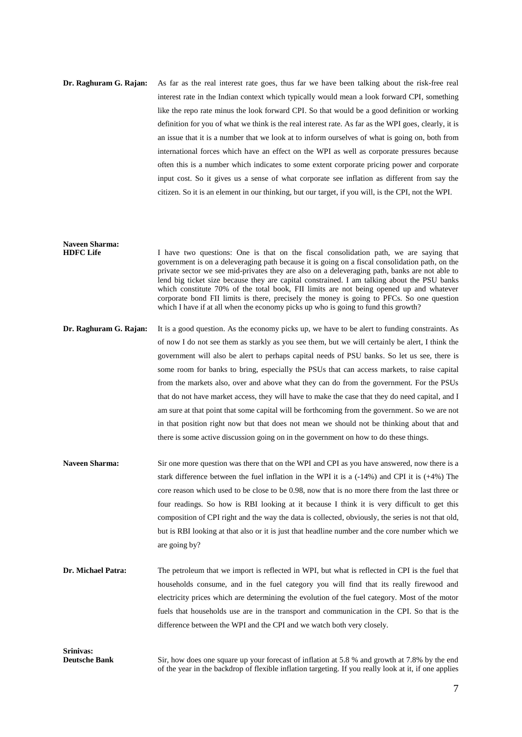## **Dr. Raghuram G. Rajan:** As far as the real interest rate goes, thus far we have been talking about the risk-free real interest rate in the Indian context which typically would mean a look forward CPI, something like the repo rate minus the look forward CPI. So that would be a good definition or working definition for you of what we think is the real interest rate. As far as the WPI goes, clearly, it is an issue that it is a number that we look at to inform ourselves of what is going on, both from international forces which have an effect on the WPI as well as corporate pressures because often this is a number which indicates to some extent corporate pricing power and corporate input cost. So it gives us a sense of what corporate see inflation as different from say the citizen. So it is an element in our thinking, but our target, if you will, is the CPI, not the WPI.

## **Naveen Sharma:** I have two questions: One is that on the fiscal consolidation path, we are saying that government is on a deleveraging path because it is going on a fiscal consolidation path, on the private sector we see mid-privates they are also on a deleveraging path, banks are not able to lend big ticket size because they are capital constrained. I am talking about the PSU banks which constitute 70% of the total book, FII limits are not being opened up and whatever corporate bond FII limits is there, precisely the money is going to PFCs. So one question which I have if at all when the economy picks up who is going to fund this growth?

- **Dr. Raghuram G. Rajan:** It is a good question. As the economy picks up, we have to be alert to funding constraints. As of now I do not see them as starkly as you see them, but we will certainly be alert, I think the government will also be alert to perhaps capital needs of PSU banks. So let us see, there is some room for banks to bring, especially the PSUs that can access markets, to raise capital from the markets also, over and above what they can do from the government. For the PSUs that do not have market access, they will have to make the case that they do need capital, and I am sure at that point that some capital will be forthcoming from the government. So we are not in that position right now but that does not mean we should not be thinking about that and there is some active discussion going on in the government on how to do these things.
- **Naveen Sharma:** Sir one more question was there that on the WPI and CPI as you have answered, now there is a stark difference between the fuel inflation in the WPI it is a  $(-14%)$  and CPI it is  $(+4%)$  The core reason which used to be close to be 0.98, now that is no more there from the last three or four readings. So how is RBI looking at it because I think it is very difficult to get this composition of CPI right and the way the data is collected, obviously, the series is not that old, but is RBI looking at that also or it is just that headline number and the core number which we are going by?
- **Dr. Michael Patra:** The petroleum that we import is reflected in WPI, but what is reflected in CPI is the fuel that households consume, and in the fuel category you will find that its really firewood and electricity prices which are determining the evolution of the fuel category. Most of the motor fuels that households use are in the transport and communication in the CPI. So that is the difference between the WPI and the CPI and we watch both very closely.

**Srinivas:**

Sir, how does one square up your forecast of inflation at 5.8 % and growth at 7.8% by the end of the year in the backdrop of flexible inflation targeting. If you really look at it, if one applies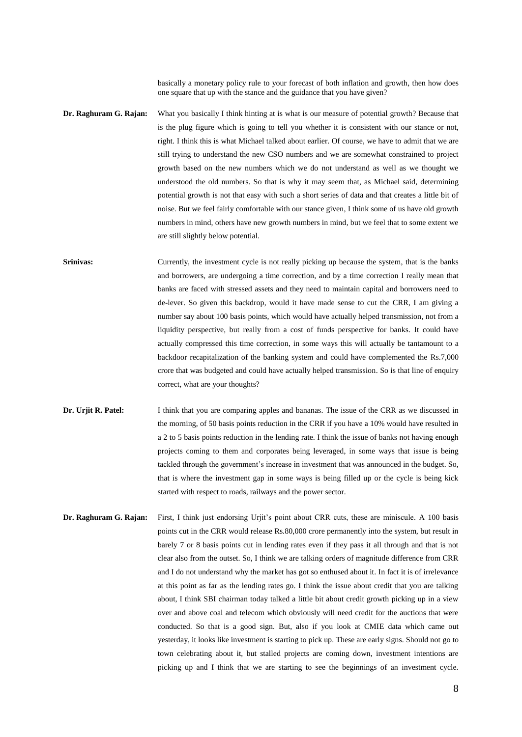basically a monetary policy rule to your forecast of both inflation and growth, then how does one square that up with the stance and the guidance that you have given?

- **Dr. Raghuram G. Rajan:** What you basically I think hinting at is what is our measure of potential growth? Because that is the plug figure which is going to tell you whether it is consistent with our stance or not, right. I think this is what Michael talked about earlier. Of course, we have to admit that we are still trying to understand the new CSO numbers and we are somewhat constrained to project growth based on the new numbers which we do not understand as well as we thought we understood the old numbers. So that is why it may seem that, as Michael said, determining potential growth is not that easy with such a short series of data and that creates a little bit of noise. But we feel fairly comfortable with our stance given, I think some of us have old growth numbers in mind, others have new growth numbers in mind, but we feel that to some extent we are still slightly below potential.
- **Srinivas:** Currently, the investment cycle is not really picking up because the system, that is the banks and borrowers, are undergoing a time correction, and by a time correction I really mean that banks are faced with stressed assets and they need to maintain capital and borrowers need to de-lever. So given this backdrop, would it have made sense to cut the CRR, I am giving a number say about 100 basis points, which would have actually helped transmission, not from a liquidity perspective, but really from a cost of funds perspective for banks. It could have actually compressed this time correction, in some ways this will actually be tantamount to a backdoor recapitalization of the banking system and could have complemented the Rs.7,000 crore that was budgeted and could have actually helped transmission. So is that line of enquiry correct, what are your thoughts?
- **Dr. Urjit R. Patel:** I think that you are comparing apples and bananas. The issue of the CRR as we discussed in the morning, of 50 basis points reduction in the CRR if you have a 10% would have resulted in a 2 to 5 basis points reduction in the lending rate. I think the issue of banks not having enough projects coming to them and corporates being leveraged, in some ways that issue is being tackled through the government's increase in investment that was announced in the budget. So, that is where the investment gap in some ways is being filled up or the cycle is being kick started with respect to roads, railways and the power sector.
- **Dr. Raghuram G. Rajan:** First, I think just endorsing Urjit's point about CRR cuts, these are miniscule. A 100 basis points cut in the CRR would release Rs.80,000 crore permanently into the system, but result in barely 7 or 8 basis points cut in lending rates even if they pass it all through and that is not clear also from the outset. So, I think we are talking orders of magnitude difference from CRR and I do not understand why the market has got so enthused about it. In fact it is of irrelevance at this point as far as the lending rates go. I think the issue about credit that you are talking about, I think SBI chairman today talked a little bit about credit growth picking up in a view over and above coal and telecom which obviously will need credit for the auctions that were conducted. So that is a good sign. But, also if you look at CMIE data which came out yesterday, it looks like investment is starting to pick up. These are early signs. Should not go to town celebrating about it, but stalled projects are coming down, investment intentions are picking up and I think that we are starting to see the beginnings of an investment cycle.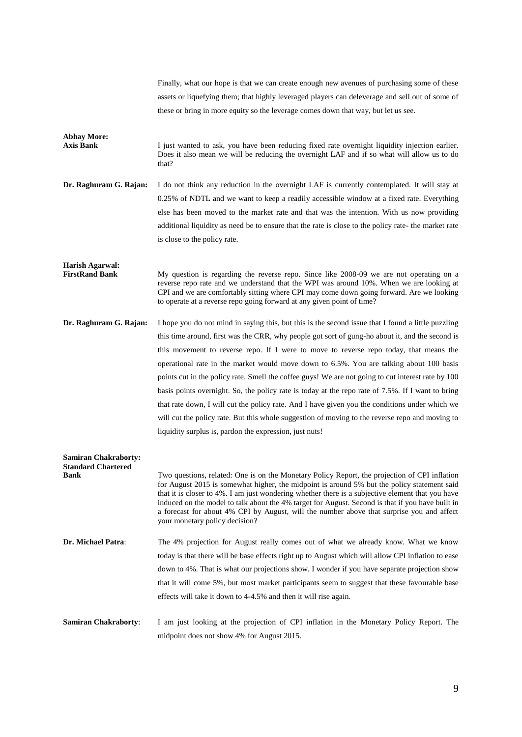|                                                                  | Finally, what our hope is that we can create enough new avenues of purchasing some of these                                                                                                                                                                                                                                                                                                                                                                                                                                         |
|------------------------------------------------------------------|-------------------------------------------------------------------------------------------------------------------------------------------------------------------------------------------------------------------------------------------------------------------------------------------------------------------------------------------------------------------------------------------------------------------------------------------------------------------------------------------------------------------------------------|
|                                                                  | assets or liquefying them; that highly leveraged players can deleverage and sell out of some of                                                                                                                                                                                                                                                                                                                                                                                                                                     |
|                                                                  | these or bring in more equity so the leverage comes down that way, but let us see.                                                                                                                                                                                                                                                                                                                                                                                                                                                  |
|                                                                  |                                                                                                                                                                                                                                                                                                                                                                                                                                                                                                                                     |
| <b>Abhay More:</b><br><b>Axis Bank</b>                           | I just wanted to ask, you have been reducing fixed rate overnight liquidity injection earlier.<br>Does it also mean we will be reducing the overnight LAF and if so what will allow us to do<br>that?                                                                                                                                                                                                                                                                                                                               |
| Dr. Raghuram G. Rajan:                                           | I do not think any reduction in the overnight LAF is currently contemplated. It will stay at                                                                                                                                                                                                                                                                                                                                                                                                                                        |
|                                                                  | 0.25% of NDTL and we want to keep a readily accessible window at a fixed rate. Everything                                                                                                                                                                                                                                                                                                                                                                                                                                           |
|                                                                  | else has been moved to the market rate and that was the intention. With us now providing                                                                                                                                                                                                                                                                                                                                                                                                                                            |
|                                                                  | additional liquidity as need be to ensure that the rate is close to the policy rate- the market rate                                                                                                                                                                                                                                                                                                                                                                                                                                |
|                                                                  | is close to the policy rate.                                                                                                                                                                                                                                                                                                                                                                                                                                                                                                        |
|                                                                  |                                                                                                                                                                                                                                                                                                                                                                                                                                                                                                                                     |
| <b>Harish Agarwal:</b><br><b>FirstRand Bank</b>                  | My question is regarding the reverse repo. Since like 2008-09 we are not operating on a<br>reverse repo rate and we understand that the WPI was around 10%. When we are looking at<br>CPI and we are comfortably sitting where CPI may come down going forward. Are we looking<br>to operate at a reverse repo going forward at any given point of time?                                                                                                                                                                            |
| Dr. Raghuram G. Rajan:                                           | I hope you do not mind in saying this, but this is the second issue that I found a little puzzling                                                                                                                                                                                                                                                                                                                                                                                                                                  |
|                                                                  | this time around, first was the CRR, why people got sort of gung-ho about it, and the second is                                                                                                                                                                                                                                                                                                                                                                                                                                     |
|                                                                  | this movement to reverse repo. If I were to move to reverse repo today, that means the                                                                                                                                                                                                                                                                                                                                                                                                                                              |
|                                                                  | operational rate in the market would move down to 6.5%. You are talking about 100 basis                                                                                                                                                                                                                                                                                                                                                                                                                                             |
|                                                                  | points cut in the policy rate. Smell the coffee guys! We are not going to cut interest rate by 100                                                                                                                                                                                                                                                                                                                                                                                                                                  |
|                                                                  | basis points overnight. So, the policy rate is today at the repo rate of 7.5%. If I want to bring                                                                                                                                                                                                                                                                                                                                                                                                                                   |
|                                                                  | that rate down, I will cut the policy rate. And I have given you the conditions under which we                                                                                                                                                                                                                                                                                                                                                                                                                                      |
|                                                                  | will cut the policy rate. But this whole suggestion of moving to the reverse repo and moving to                                                                                                                                                                                                                                                                                                                                                                                                                                     |
|                                                                  | liquidity surplus is, pardon the expression, just nuts!                                                                                                                                                                                                                                                                                                                                                                                                                                                                             |
|                                                                  |                                                                                                                                                                                                                                                                                                                                                                                                                                                                                                                                     |
| <b>Samiran Chakraborty:</b><br><b>Standard Chartered</b><br>Bank | Two questions, related: One is on the Monetary Policy Report, the projection of CPI inflation<br>for August 2015 is somewhat higher, the midpoint is around 5% but the policy statement said<br>that it is closer to 4%. I am just wondering whether there is a subjective element that you have<br>induced on the model to talk about the 4% target for August. Second is that if you have built in<br>a forecast for about 4% CPI by August, will the number above that surprise you and affect<br>your monetary policy decision? |
| Dr. Michael Patra:                                               | The 4% projection for August really comes out of what we already know. What we know                                                                                                                                                                                                                                                                                                                                                                                                                                                 |
|                                                                  | today is that there will be base effects right up to August which will allow CPI inflation to ease                                                                                                                                                                                                                                                                                                                                                                                                                                  |
|                                                                  | down to 4%. That is what our projections show. I wonder if you have separate projection show                                                                                                                                                                                                                                                                                                                                                                                                                                        |
|                                                                  | that it will come 5%, but most market participants seem to suggest that these favourable base                                                                                                                                                                                                                                                                                                                                                                                                                                       |
|                                                                  | effects will take it down to 4-4.5% and then it will rise again.                                                                                                                                                                                                                                                                                                                                                                                                                                                                    |
| <b>Samiran Chakraborty:</b>                                      | I am just looking at the projection of CPI inflation in the Monetary Policy Report. The<br>midpoint does not show 4% for August 2015.                                                                                                                                                                                                                                                                                                                                                                                               |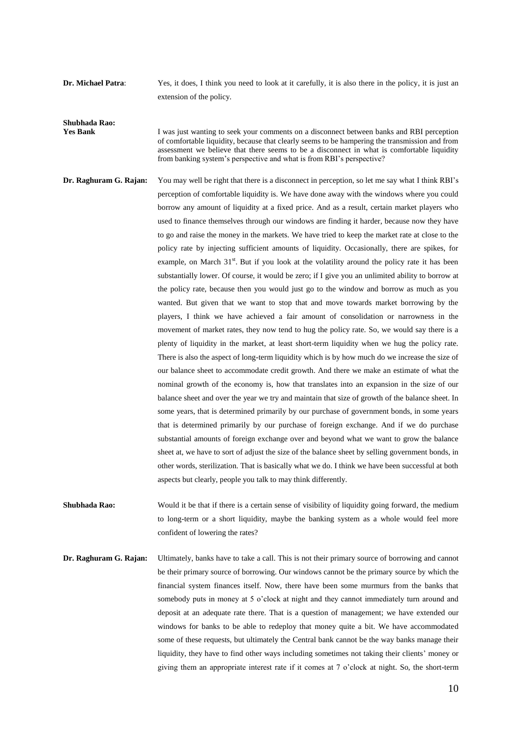**Dr. Michael Patra:** Yes, it does, I think you need to look at it carefully, it is also there in the policy, it is just an extension of the policy.

**Shubhada Rao:**

**Yes Bank** I was just wanting to seek your comments on a disconnect between banks and RBI perception of comfortable liquidity, because that clearly seems to be hampering the transmission and from assessment we believe that there seems to be a disconnect in what is comfortable liquidity from banking system's perspective and what is from RBI's perspective?

- **Dr. Raghuram G. Rajan:** You may well be right that there is a disconnect in perception, so let me say what I think RBI's perception of comfortable liquidity is. We have done away with the windows where you could borrow any amount of liquidity at a fixed price. And as a result, certain market players who used to finance themselves through our windows are finding it harder, because now they have to go and raise the money in the markets. We have tried to keep the market rate at close to the policy rate by injecting sufficient amounts of liquidity. Occasionally, there are spikes, for example, on March  $31<sup>st</sup>$ . But if you look at the volatility around the policy rate it has been substantially lower. Of course, it would be zero; if I give you an unlimited ability to borrow at the policy rate, because then you would just go to the window and borrow as much as you wanted. But given that we want to stop that and move towards market borrowing by the players, I think we have achieved a fair amount of consolidation or narrowness in the movement of market rates, they now tend to hug the policy rate. So, we would say there is a plenty of liquidity in the market, at least short-term liquidity when we hug the policy rate. There is also the aspect of long-term liquidity which is by how much do we increase the size of our balance sheet to accommodate credit growth. And there we make an estimate of what the nominal growth of the economy is, how that translates into an expansion in the size of our balance sheet and over the year we try and maintain that size of growth of the balance sheet. In some years, that is determined primarily by our purchase of government bonds, in some years that is determined primarily by our purchase of foreign exchange. And if we do purchase substantial amounts of foreign exchange over and beyond what we want to grow the balance sheet at, we have to sort of adjust the size of the balance sheet by selling government bonds, in other words, sterilization. That is basically what we do. I think we have been successful at both aspects but clearly, people you talk to may think differently.
- **Shubhada Rao:** Would it be that if there is a certain sense of visibility of liquidity going forward, the medium to long-term or a short liquidity, maybe the banking system as a whole would feel more confident of lowering the rates?
- **Dr. Raghuram G. Rajan:** Ultimately, banks have to take a call. This is not their primary source of borrowing and cannot be their primary source of borrowing. Our windows cannot be the primary source by which the financial system finances itself. Now, there have been some murmurs from the banks that somebody puts in money at 5 o'clock at night and they cannot immediately turn around and deposit at an adequate rate there. That is a question of management; we have extended our windows for banks to be able to redeploy that money quite a bit. We have accommodated some of these requests, but ultimately the Central bank cannot be the way banks manage their liquidity, they have to find other ways including sometimes not taking their clients' money or giving them an appropriate interest rate if it comes at 7 o'clock at night. So, the short-term